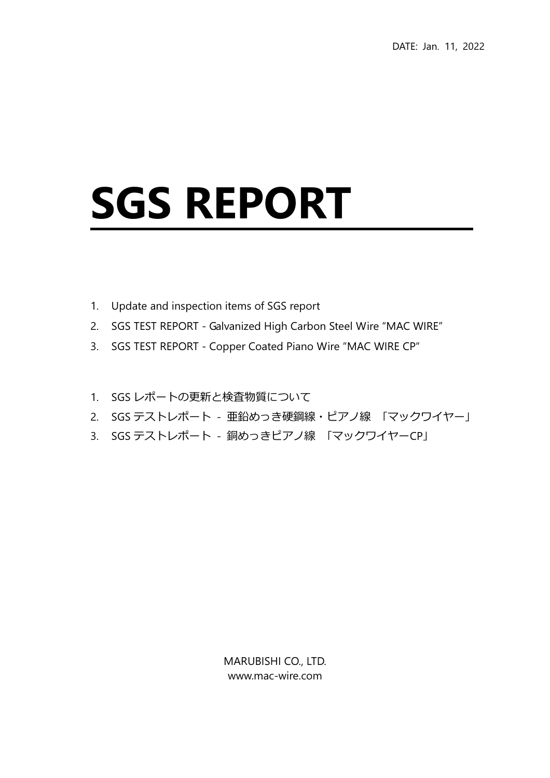## SGS REPORT

- 1. Update and inspection items of SGS report
- 2. SGS TEST REPORT Galvanized High Carbon Steel Wire "MAC WIRE"
- 3. SGS TEST REPORT Copper Coated Piano Wire "MAC WIRE CP"
- 1. SGS レポートの更新と検査物質について
- 2. SGS テストレポート 亜鉛めっき硬鋼線・ピアノ線 「マックワイヤー」
- 3. SGS テストレポート 銅めっきピアノ線 「マックワイヤーCP」

MARUBISHI CO., LTD. www.mac-wire.com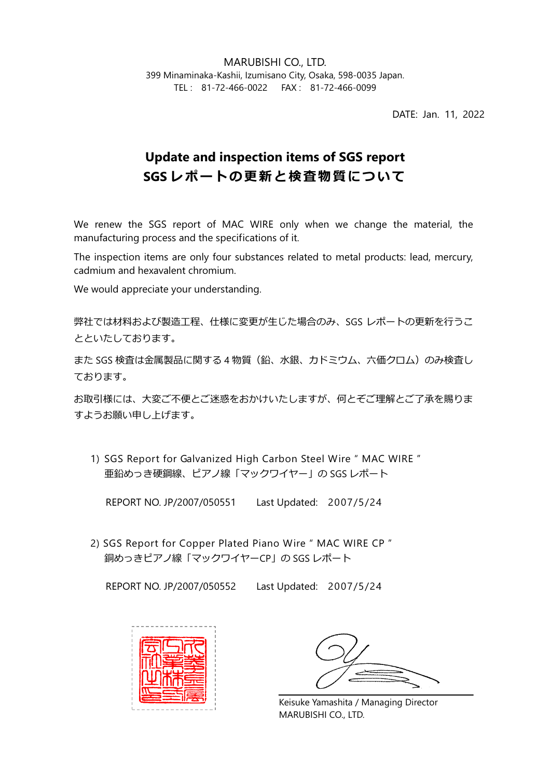MARUBISHI CO., LTD. 399 Minaminaka-Kashii, Izumisano City, Osaka, 598-0035 Japan. TEL : 81-72-466-0022 FAX : 81-72-466-0099

DATE: Jan. 11, 2022

## Update and inspection items of SGS report SGS レポートの更新と検査物質について

We renew the SGS report of MAC WIRE only when we change the material, the manufacturing process and the specifications of it.

The inspection items are only four substances related to metal products: lead, mercury, cadmium and hexavalent chromium.

We would appreciate your understanding.

弊社では材料および製造工程、仕様に変更が生じた場合のみ、SGS レポートの更新を行うこ とといたしております。

また SGS 検査は金属製品に関する 4 物質(鉛、水銀、カドミウム、六価クロム)のみ検査し ております。

お取引様には、⼤変ご不便とご迷惑をおかけいたしますが、何とぞご理解とご了承を賜りま すようお願い申し上げます。

1) SGS Report for Galvanized High Carbon Steel Wire " MAC WIRE " 亜鉛めっき硬鋼線、ピアノ線「マックワイヤー」の SGS レポート

REPORT NO. JP/2007/050551 Last Updated: 2007/5/24

2) SGS Report for Copper Plated Piano Wire " MAC WIRE CP " 銅めっきピアノ線「マックワイヤーCP」の SGS レポート

REPORT NO. JP/2007/050552 Last Updated: 2007/5/24



Keisuke Yamashita / Managing Director MARUBISHI CO., LTD.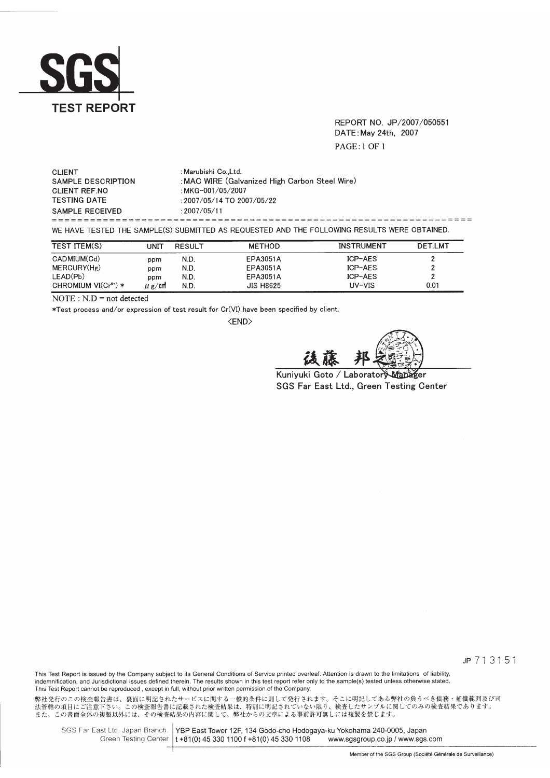

REPORT NO. JP/2007/050551 DATE: May 24th, 2007 **PAGE:1 OF 1** 

| <b>CLIENT</b><br>SAMPLE DESCRIPTION<br>CLIENT REF.NO<br><b>TESTING DATE</b> | : Marubishi CoLtd.<br>: MAC WIRE (Galvanized High Carbon Steel Wire)<br>: MKG-001/05/2007<br>: 2007/05/14 TO 2007/05/22 |
|-----------------------------------------------------------------------------|-------------------------------------------------------------------------------------------------------------------------|
| SAMPLE RECEIVED                                                             | : 2007/05/11                                                                                                            |
|                                                                             |                                                                                                                         |
|                                                                             | WE HAVE TESTED THE SAMPLE(S) SUBMITTED AS REQUESTED AND THE FOLLOWING RESULTS WERE OBTAINED.                            |

| <b>TEST ITEM(S)</b>              | UNIT       | <b>RESULT</b> | <b>METHOD</b>    | <b>INSTRUMENT</b> | <b>DET.LMT</b> |
|----------------------------------|------------|---------------|------------------|-------------------|----------------|
| CADMIUM(Cd)                      | ppm        | N.D.          | <b>EPA3051A</b>  | ICP-AES           |                |
| MERCURY(Hg)                      | ppm        | N.D.          | EPA3051A         | ICP-AES           |                |
| LEAD(Pb)                         | ppm        | N.D.          | EPA3051A         | ICP-AES           |                |
| CHROMIUM VI(Cr <sup>6+</sup> ) * | $\mu$ g/cm | N.D.          | <b>JIS H8625</b> | UV-VIS            | 0.01           |

 $\overline{\text{NOTE}: \text{N.D}} = \text{not detected}$ 

\*Test process and/or expression of test result for Cr(VI) have been specified by client.

<END>

Kuniyuki Goto / Laboratory 6er SGS Far East Ltd., Green Testing Center

JP 713151

This Test Report is issued by the Company subject to its General Conditions of Service printed overleaf. Attention is drawn to the limitations of liability, indemnification, and Jurisdictional issues defined therein. The results shown in this test report refer only to the sample(s) tested unless otherwise stated. This Test Report cannot be reproduced, except in full, without prior written permission of the Company.

弊社発行のこの検査報告書は、裏面に明記されたサービスに関する一般的条件に則して発行されます。そこに明記してある弊社の負うべき債務・補償範囲及び司<br>法管轄の項目にご注意下さい。この検査報告書に記載された検査結果は、特別に明記されていない限り、検査したサンプルに関してのみの検査結果であります。<br>また、この書面全体の複製以外には、その検査結果の内容に関して、弊社からの文章による事前許可無しには複製を禁じます。

SGS Far East Ltd. Japan Branch. YBP East Tower 12F, 134 Godo-cho Hodogaya-ku Yokohama 240-0005, Japan Green Testing Center | t +81(0) 45 330 1100 f +81(0) 45 330 1108 www.sgsgroup.co.jp / www.sgs.com